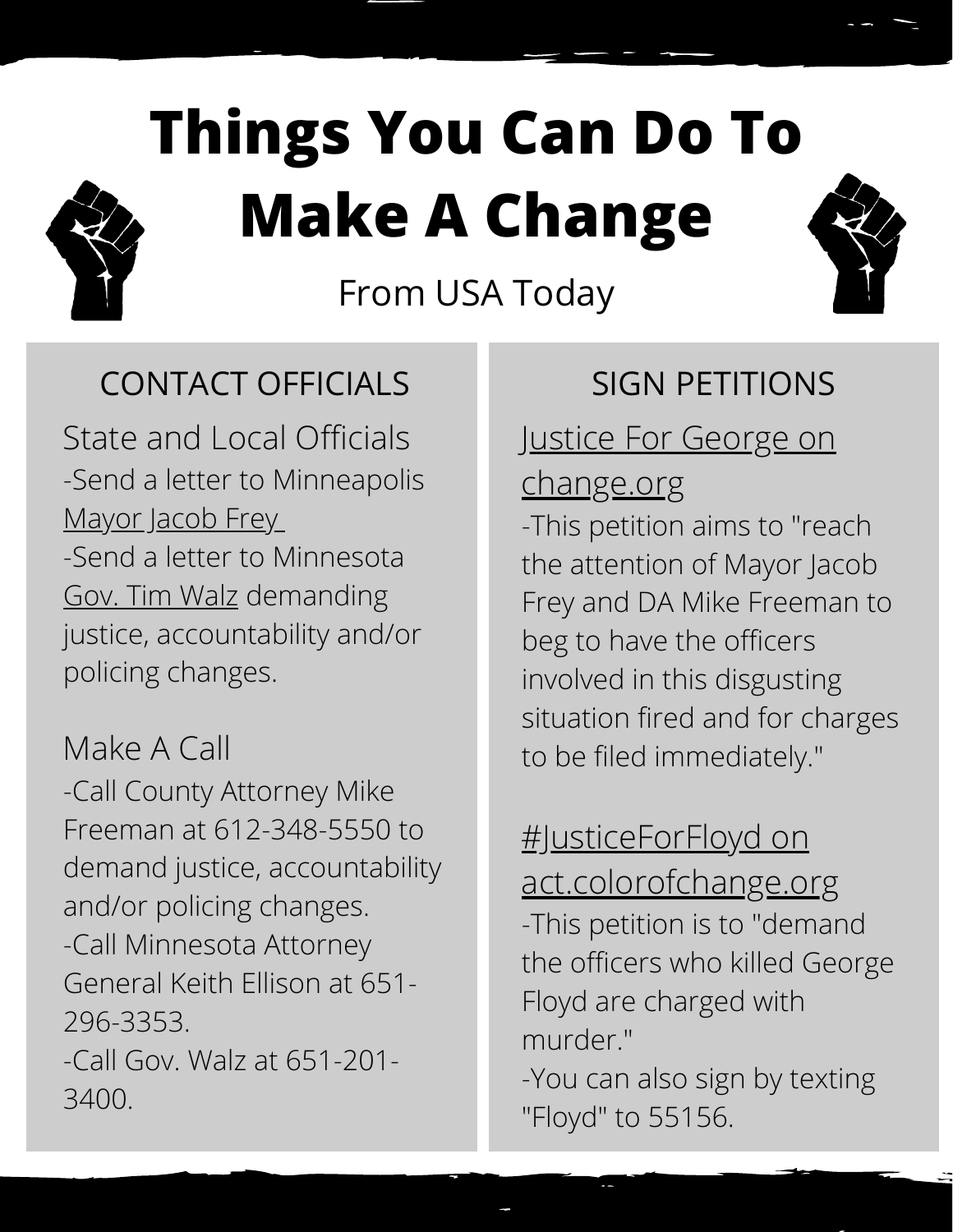# **Things You Can Do To Make A Change**



From USA Today

#### CONTACT OFFICIALS SIGN PETITIONS

State and Local Officials -Send a letter to Minneapolis [Mayor](http://www.ci.minneapolis.mn.us/mayor/contact/index.htm) Jacob Frey -Send a letter to Minnesota Gov. Tim [Walz](https://mn.gov/governor/contact/) demanding justice, accountability and/or policing changes.

Make A Call

-Call County Attorney Mike Freeman at 612-348-5550 to demand justice, accountability and/or policing changes. -Call Minnesota Attorney General Keith Ellison at 651- 296-3353. -Call Gov. Walz at 651-201- 3400.

#### **[Justice For George on](https://www.change.org/p/mayor-jacob-frey-justice-for-george-floyd?recruiter=1096617288&utm_source=share_petition&utm_medium=twitter&utm_campaign=psf_combo_share_initial&utm_term=psf_combo_share_abi&recruited_by_id=2943f820-a174-11ea-b563-a538d17ee3bd)**

#### change.org

-This petition aims to "reach the attention of Mayor Jacob Frey and DA Mike Freeman to beg to have the officers involved in this disgusting situation fired and for charges to be filed immediately."

#JusticeForFloyd on

[act.colorofchange.org](https://act.colorofchange.org/sign/justiceforfloyd_george_floyd_minneapolis) -This petition is to "demand the officers who killed George Floyd are charged with murder."

-You can also sign by texting "Floyd" to 55156.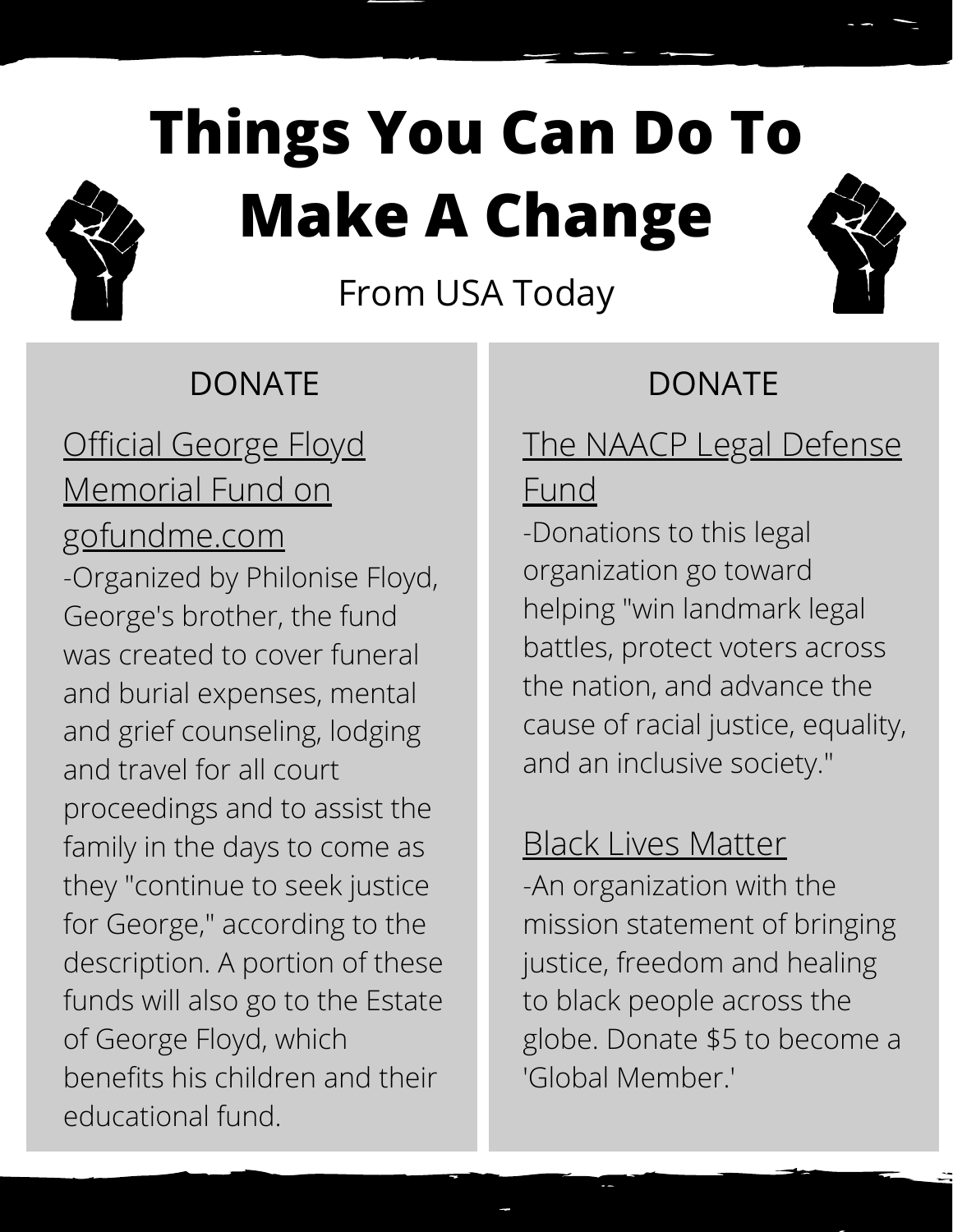# **Things You Can Do To Make A Change**



From USA Today

### DONATE DONATE

## **[Official George Floyd](https://www.gofundme.com/f/georgefloyd)** Memorial Fund on gofundme.com

-Organized by Philonise Floyd, George's brother, the fund was created to cover funeral and burial expenses, mental and grief counseling, lodging and travel for all court proceedings and to assist the family in the days to come as they "continue to seek justice for George," according to the description. A portion of these funds will also go to the Estate of George Floyd, which benefits his children and their educational fund.

### [The NAACP Legal Defense](https://org2.salsalabs.com/o/6857/p/salsa/donation/common/public/?donate_page_KEY=15780&_ga=2.209233111.496632409.1590767838-1184367471.1590767838)

#### Fund

-Donations to this legal organization go toward helping "win landmark legal battles, protect voters across the nation, and advance the cause of racial justice, equality, and an inclusive society."

### [Black Lives Matter](https://secure.actblue.com/donate/ms_blm_homepage_2019)

-An organization with the mission statement of bringing justice, freedom and healing to black people across the globe. Donate \$5 to become a 'Global Member.'